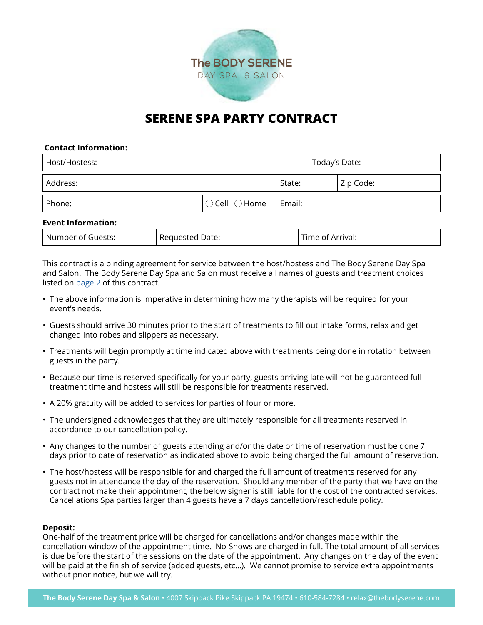

# **SERENE SPA PARTY CONTRACT**

# **Contact Information:**

| Host/Hostess: |                                 |        | Today's Date: |  |
|---------------|---------------------------------|--------|---------------|--|
| Address:      |                                 | State: | Zip Code:     |  |
| Phone:        | $\bigcirc$ Cell $\bigcirc$ Home | Email: |               |  |

# **Event Information:**

| Number of<br>Guests: | Date:<br>-UURSTAL<br>. | —<br>rrival:<br>,,, |  |
|----------------------|------------------------|---------------------|--|
|----------------------|------------------------|---------------------|--|

This contract is a binding agreement for service between the host/hostess and The Body Serene Day Spa and Salon. The Body Serene Day Spa and Salon must receive all names of guests and treatment choices listed on [page 2](#page-1-0) of this contract.

- The above information is imperative in determining how many therapists will be required for your event's needs.
- Guests should arrive 30 minutes prior to the start of treatments to fill out intake forms, relax and get changed into robes and slippers as necessary.
- Treatments will begin promptly at time indicated above with treatments being done in rotation between guests in the party.
- Because our time is reserved specifically for your party, guests arriving late will not be guaranteed full treatment time and hostess will still be responsible for treatments reserved.
- A 20% gratuity will be added to services for parties of four or more.
- The undersigned acknowledges that they are ultimately responsible for all treatments reserved in accordance to our cancellation policy.
- Any changes to the number of guests attending and/or the date or time of reservation must be done 7 days prior to date of reservation as indicated above to avoid being charged the full amount of reservation.
- The host/hostess will be responsible for and charged the full amount of treatments reserved for any guests not in attendance the day of the reservation. Should any member of the party that we have on the contract not make their appointment, the below signer is still liable for the cost of the contracted services. Cancellations Spa parties larger than 4 guests have a 7 days cancellation/reschedule policy.

#### **Deposit:**

One-half of the treatment price will be charged for cancellations and/or changes made within the cancellation window of the appointment time. No-Shows are charged in full. The total amount of all services is due before the start of the sessions on the date of the appointment. Any changes on the day of the event will be paid at the finish of service (added guests, etc…). We cannot promise to service extra appointments without prior notice, but we will try.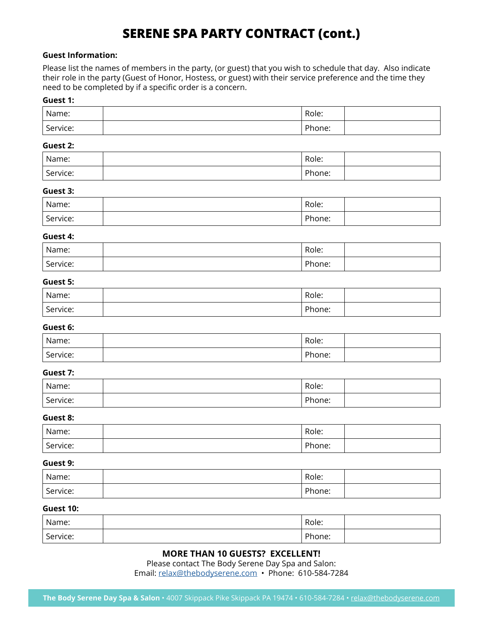# **SERENE SPA PARTY CONTRACT (cont.)**

# <span id="page-1-0"></span>**Guest Information:**

Please list the names of members in the party, (or guest) that you wish to schedule that day. Also indicate their role in the party (Guest of Honor, Hostess, or guest) with their service preference and the time they need to be completed by if a specific order is a concern.

# **Guest 1:**

| Name:    | Role:  |  |
|----------|--------|--|
| Service: | Phone: |  |

## **Guest 2:**

| Name:    | Role:  |  |
|----------|--------|--|
| Service: | Phone: |  |

# **Guest 3:**

| Name:    | Role:  |  |
|----------|--------|--|
| Service: | Phone: |  |

# **Guest 4:**

| Name:    | Role:  |  |
|----------|--------|--|
| Service: | Phone: |  |

# **Guest 5:**

| Name:    | Role:  |  |
|----------|--------|--|
| Service: | Phone: |  |

#### **Guest 6:**

| Name:    | Role:  |  |
|----------|--------|--|
| Service: | Phone: |  |

# **Guest 7:**

| Name:    | Role:  |  |
|----------|--------|--|
| Service: | Phone: |  |

#### **Guest 8:**

| Name:    | Role:  |  |
|----------|--------|--|
| Service: | Phone: |  |

# **Guest 9:**

| Name:    | Role:  |  |
|----------|--------|--|
| Service: | Phone: |  |

# **Guest 10:**

| Name:    | Role:  |  |
|----------|--------|--|
| Service: | Phone: |  |

# **MORE THAN 10 GUESTS? EXCELLENT!**

Please contact The Body Serene Day Spa and Salon:

Email: [relax@thebodyserene.com](mailto:relax%40thebodyserene.com?subject=Spa%20Party%20Request) • Phone: 610-584-7284